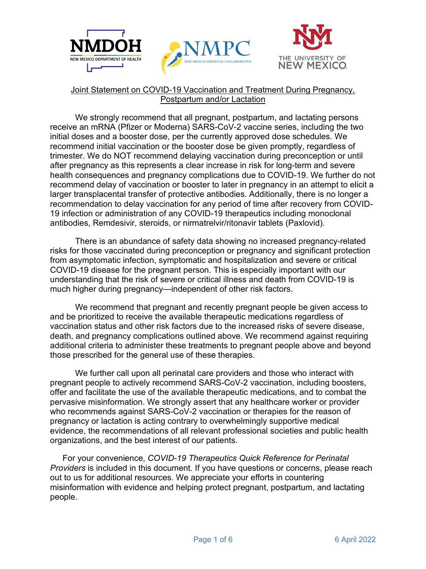





### Joint Statement on COVID-19 Vaccination and Treatment During Pregnancy, Postpartum and/or Lactation

We strongly recommend that all pregnant, postpartum, and lactating persons receive an mRNA (Pfizer or Moderna) SARS-CoV-2 vaccine series, including the two initial doses and a booster dose, per the currently approved dose schedules. We recommend initial vaccination or the booster dose be given promptly, regardless of trimester. We do NOT recommend delaying vaccination during preconception or until after pregnancy as this represents a clear increase in risk for long-term and severe health consequences and pregnancy complications due to COVID-19. We further do not recommend delay of vaccination or booster to later in pregnancy in an attempt to elicit a larger transplacental transfer of protective antibodies. Additionally, there is no longer a recommendation to delay vaccination for any period of time after recovery from COVID-19 infection or administration of any COVID-19 therapeutics including monoclonal antibodies, Remdesivir, steroids, or nirmatrelvir/ritonavir tablets (Paxlovid).

There is an abundance of safety data showing no increased pregnancy-related risks for those vaccinated during preconception or pregnancy and significant protection from asymptomatic infection, symptomatic and hospitalization and severe or critical COVID-19 disease for the pregnant person. This is especially important with our understanding that the risk of severe or critical illness and death from COVID-19 is much higher during pregnancy—independent of other risk factors.

We recommend that pregnant and recently pregnant people be given access to and be prioritized to receive the available therapeutic medications regardless of vaccination status and other risk factors due to the increased risks of severe disease, death, and pregnancy complications outlined above. We recommend against requiring additional criteria to administer these treatments to pregnant people above and beyond those prescribed for the general use of these therapies.

We further call upon all perinatal care providers and those who interact with pregnant people to actively recommend SARS-CoV-2 vaccination, including boosters, offer and facilitate the use of the available therapeutic medications, and to combat the pervasive misinformation. We strongly assert that any healthcare worker or provider who recommends against SARS-CoV-2 vaccination or therapies for the reason of pregnancy or lactation is acting contrary to overwhelmingly supportive medical evidence, the recommendations of all relevant professional societies and public health organizations, and the best interest of our patients.

For your convenience, COVID-19 Therapeutics Quick Reference for Perinatal *Providers* is included in this document. If you have questions or concerns, please reach out to us for additional resources. We appreciate your efforts in countering misinformation with evidence and helping protect pregnant, postpartum, and lactating people.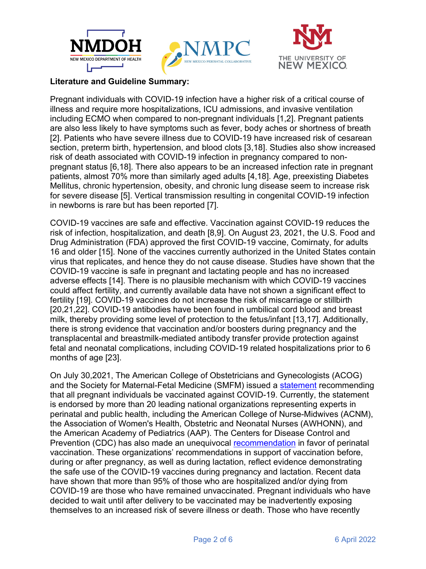





## **Literature and Guideline Summary:**

Pregnant individuals with COVID-19 infection have a higher risk of a critical course of illness and require more hospitalizations, ICU admissions, and invasive ventilation including ECMO when compared to non-pregnant individuals [1,2]. Pregnant patients are also less likely to have symptoms such as fever, body aches or shortness of breath [2]. Patients who have severe illness due to COVID-19 have increased risk of cesarean section, preterm birth, hypertension, and blood clots [3,18]. Studies also show increased risk of death associated with COVID-19 infection in pregnancy compared to nonpregnant status [6,18]. There also appears to be an increased infection rate in pregnant patients, almost 70% more than similarly aged adults [4,18]. Age, preexisting Diabetes Mellitus, chronic hypertension, obesity, and chronic lung disease seem to increase risk for severe disease [5]. Vertical transmission resulting in congenital COVID-19 infection in newborns is rare but has been reported [7].

COVID-19 vaccines are safe and effective. Vaccination against COVID-19 reduces the risk of infection, hospitalization, and death [8,9]. On August 23, 2021, the U.S. Food and Drug Administration (FDA) approved the first COVID-19 vaccine, Comirnaty, for adults 16 and older [15]. None of the vaccines currently authorized in the United States contain virus that replicates, and hence they do not cause disease. Studies have shown that the COVID-19 vaccine is safe in pregnant and lactating people and has no increased adverse effects [14]. There is no plausible mechanism with which COVID-19 vaccines could affect fertility, and currently available data have not shown a significant effect to fertility [19]. COVID-19 vaccines do not increase the risk of miscarriage or stillbirth [20,21,22]. COVID-19 antibodies have been found in umbilical cord blood and breast milk, thereby providing some level of protection to the fetus/infant [13,17]. Additionally, there is strong evidence that vaccination and/or boosters during pregnancy and the transplacental and breastmilk-mediated antibody transfer provide protection against fetal and neonatal complications, including COVID-19 related hospitalizations prior to 6 months of age [23].

On July 30,2021, The American College of Obstetricians and Gynecologists (ACOG) and the Society for Maternal-Fetal Medicine (SMFM) issued a statement recommending that all pregnant individuals be vaccinated against COVID-19. Currently, the statement is endorsed by more than 20 leading national organizations representing experts in perinatal and public health, including the American College of Nurse-Midwives (ACNM), the Association of Women's Health, Obstetric and Neonatal Nurses (AWHONN), and the American Academy of Pediatrics (AAP). The Centers for Disease Control and Prevention (CDC) has also made an unequivocal recommendation in favor of perinatal vaccination. These organizations' recommendations in support of vaccination before. during or after pregnancy, as well as during lactation, reflect evidence demonstrating the safe use of the COVID-19 vaccines during pregnancy and lactation. Recent data have shown that more than 95% of those who are hospitalized and/or dying from COVID-19 are those who have remained unvaccinated. Pregnant individuals who have decided to wait until after delivery to be vaccinated may be inadvertently exposing themselves to an increased risk of severe illness or death. Those who have recently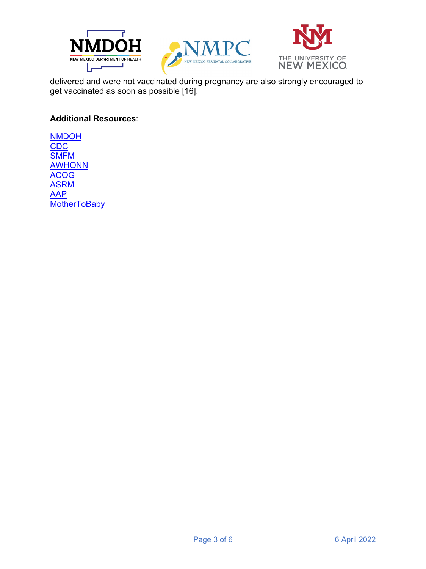





delivered and were not vaccinated during pregnancy are also strongly encouraged to get vaccinated as soon as possible [16].

## **Additional Resources:**

**NMDOH** CDC **SMFM AWHONN ACOG ASRM AAP MotherToBaby**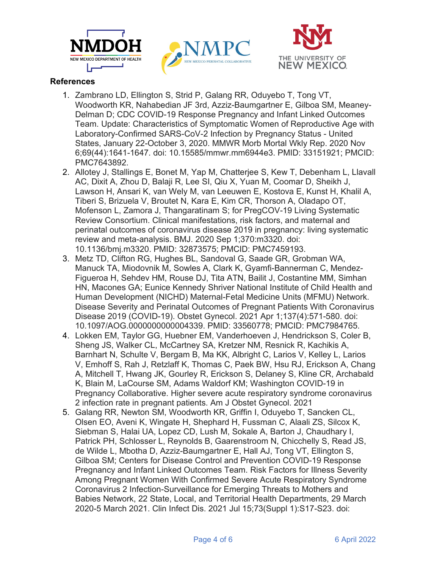





# **References**

- 1. Zambrano LD, Ellington S, Strid P, Galang RR, Oduvebo T, Tong VT, Woodworth KR, Nahabedian JF 3rd, Azziz-Baumgartner E, Gilboa SM, Meaney-Delman D; CDC COVID-19 Response Pregnancy and Infant Linked Outcomes Team. Update: Characteristics of Symptomatic Women of Reproductive Age with Laboratory-Confirmed SARS-CoV-2 Infection by Pregnancy Status - United States, January 22-October 3, 2020. MMWR Morb Mortal Wkly Rep. 2020 Nov 6:69(44):1641-1647, doi: 10.15585/mmwr.mm6944e3, PMID: 33151921; PMCID: PMC7643892.
- 2. Allotey J, Stallings E, Bonet M, Yap M, Chatterjee S, Kew T, Debenham L, Llavall AC, Dixit A, Zhou D, Balaji R, Lee SI, Qiu X, Yuan M, Coomar D, Sheikh J, Lawson H, Ansari K, van Wely M, van Leeuwen E, Kostova E, Kunst H, Khalil A, Tiberi S, Brizuela V, Broutet N, Kara E, Kim CR, Thorson A, Oladapo OT, Mofenson L. Zamora J. Thangaratinam S: for PregCOV-19 Living Systematic Review Consortium. Clinical manifestations, risk factors, and maternal and perinatal outcomes of coronavirus disease 2019 in pregnancy: living systematic review and meta-analysis. BMJ. 2020 Sep 1:370:m3320. doi: 10.1136/bmj.m3320. PMID: 32873575; PMCID: PMC7459193.
- 3. Metz TD, Clifton RG, Hughes BL, Sandoval G, Saade GR, Grobman WA, Manuck TA, Miodovnik M, Sowles A, Clark K, Gyamfi-Bannerman C, Mendez-Figueroa H, Sehdev HM, Rouse DJ, Tita ATN, Bailit J, Costantine MM, Simhan HN, Macones GA; Eunice Kennedy Shriver National Institute of Child Health and Human Development (NICHD) Maternal-Fetal Medicine Units (MFMU) Network. Disease Severity and Perinatal Outcomes of Pregnant Patients With Coronavirus Disease 2019 (COVID-19). Obstet Gynecol. 2021 Apr 1:137(4):571-580. doi: 10.1097/AOG.0000000000004339. PMID: 33560778; PMCID: PMC7984765.
- 4. Lokken EM, Taylor GG, Huebner EM, Vanderhoeven J, Hendrickson S, Coler B, Sheng JS, Walker CL, McCartney SA, Kretzer NM, Resnick R, Kachikis A, Barnhart N, Schulte V, Bergam B, Ma KK, Albright C, Larios V, Kelley L, Larios V, Emhoff S, Rah J, Retzlaff K, Thomas C, Paek BW, Hsu RJ, Erickson A, Chang A, Mitchell T, Hwang JK, Gourley R, Erickson S, Delaney S, Kline CR, Archabald K, Blain M, LaCourse SM, Adams Waldorf KM; Washington COVID-19 in Pregnancy Collaborative. Higher severe acute respiratory syndrome coronavirus 2 infection rate in pregnant patients. Am J Obstet Gynecol. 2021
- 5. Galang RR, Newton SM, Woodworth KR, Griffin I, Oduyebo T, Sancken CL, Olsen EO, Aveni K, Wingate H, Shephard H, Fussman C, Alaali ZS, Silcox K, Siebman S, Halai UA, Lopez CD, Lush M, Sokale A, Barton J, Chaudhary I, Patrick PH, Schlosser L, Reynolds B, Gaarenstroom N, Chicchelly S, Read JS, de Wilde L, Mbotha D, Azziz-Baumgartner E, Hall AJ, Tong VT, Ellington S, Gilboa SM; Centers for Disease Control and Prevention COVID-19 Response Pregnancy and Infant Linked Outcomes Team. Risk Factors for Illness Severity Among Pregnant Women With Confirmed Severe Acute Respiratory Syndrome Coronavirus 2 Infection-Surveillance for Emerging Threats to Mothers and Babies Network, 22 State, Local, and Territorial Health Departments, 29 March 2020-5 March 2021. Clin Infect Dis. 2021 Jul 15:73 (Suppl 1):S17-S23. doi: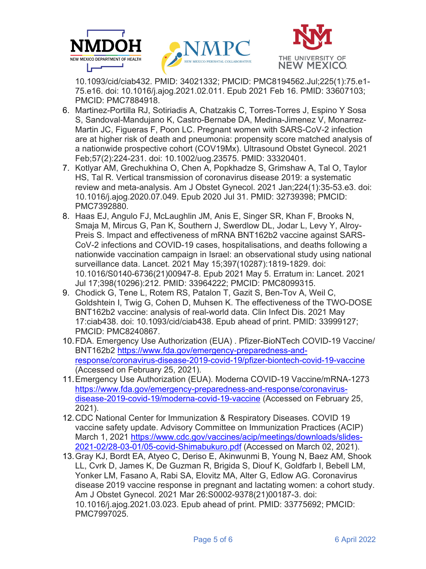





10.1093/cid/ciab432. PMID: 34021332; PMCID: PMC8194562.Jul;225(1):75.e1-75.e16. doi: 10.1016/j.ajog.2021.02.011. Epub 2021 Feb 16. PMID: 33607103; PMCID: PMC7884918.

- 6. Martinez-Portilla RJ, Sotiriadis A, Chatzakis C, Torres-Torres J, Espino Y Sosa S, Sandoval-Mandujano K, Castro-Bernabe DA, Medina-Jimenez V, Monarrez-Martin JC, Figueras F, Poon LC. Pregnant women with SARS-CoV-2 infection are at higher risk of death and pneumonia: propensity score matched analysis of a nationwide prospective cohort (COV19Mx). Ultrasound Obstet Gynecol. 2021 Feb;57(2):224-231. doi: 10.1002/uog.23575. PMID: 33320401.
- 7. Kotlyar AM, Grechukhina O, Chen A, Popkhadze S, Grimshaw A, Tal O, Taylor HS. Tal R. Vertical transmission of coronavirus disease 2019: a systematic review and meta-analysis. Am J Obstet Gynecol. 2021 Jan: 224(1): 35-53. e3. doi: 10.1016/j.ajog.2020.07.049. Epub 2020 Jul 31. PMID: 32739398; PMCID: PMC7392880.
- 8. Haas EJ, Angulo FJ, McLaughlin JM, Anis E, Singer SR, Khan F, Brooks N, Smaia M. Mircus G. Pan K. Southern J. Swerdlow DL. Jodar L. Levy Y. Alrov-Preis S. Impact and effectiveness of mRNA BNT162b2 vaccine against SARS-CoV-2 infections and COVID-19 cases, hospitalisations, and deaths following a nationwide vaccination campaign in Israel: an observational study using national surveillance data. Lancet. 2021 May 15;397(10287):1819-1829. doi: 10.1016/S0140-6736(21)00947-8. Epub 2021 May 5. Erratum in: Lancet. 2021 Jul 17:398(10296):212. PMID: 33964222; PMCID: PMC8099315.
- 9. Chodick G, Tene L, Rotem RS, Patalon T, Gazit S, Ben-Tov A, Weil C, Goldshtein I, Twig G, Cohen D, Muhsen K. The effectiveness of the TWO-DOSE BNT162b2 vaccine: analysis of real-world data. Clin Infect Dis. 2021 May 17:ciab438. doi: 10.1093/cid/ciab438. Epub ahead of print. PMID: 33999127; PMCID: PMC8240867.
- 10. FDA. Emergency Use Authorization (EUA). Pfizer-BioNTech COVID-19 Vaccine/ BNT162b2 https://www.fda.gov/emergency-preparedness-andresponse/coronavirus-disease-2019-covid-19/pfizer-biontech-covid-19-vaccine (Accessed on February 25, 2021).
- 11. Emergency Use Authorization (EUA). Moderna COVID-19 Vaccine/mRNA-1273 https://www.fda.gov/emergency-preparedness-and-response/coronavirusdisease-2019-covid-19/moderna-covid-19-vaccine (Accessed on February 25, 2021).
- 12. CDC National Center for Immunization & Respiratory Diseases. COVID 19 vaccine safety update. Advisory Committee on Immunization Practices (ACIP) March 1, 2021 https://www.cdc.gov/vaccines/acip/meetings/downloads/slides-2021-02/28-03-01/05-covid-Shimabukuro.pdf (Accessed on March 02, 2021).
- 13. Gray KJ, Bordt EA, Atyeo C, Deriso E, Akinwunmi B, Young N, Baez AM, Shook LL, Cvrk D, James K, De Guzman R, Brigida S, Diouf K, Goldfarb I, Bebell LM, Yonker LM, Fasano A, Rabi SA, Elovitz MA, Alter G, Edlow AG. Coronavirus disease 2019 vaccine response in pregnant and lactating women: a cohort study. Am J Obstet Gynecol. 2021 Mar 26:S0002-9378(21)00187-3. doi: 10.1016/j.ajog.2021.03.023. Epub ahead of print. PMID: 33775692; PMCID: PMC7997025.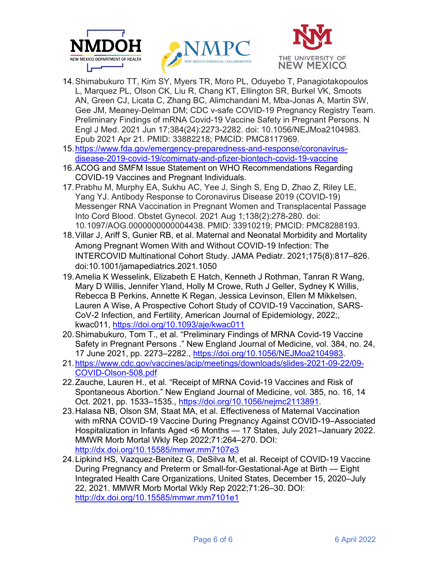





- 14. Shimabukuro TT, Kim SY, Myers TR, Moro PL, Oduyebo T, Panagiotakopoulos L, Marquez PL, Olson CK, Liu R, Chang KT, Ellington SR, Burkel VK, Smoots AN, Green CJ, Licata C, Zhang BC, Alimchandani M, Mba-Jonas A, Martin SW, Gee JM, Meaney-Delman DM; CDC v-safe COVID-19 Pregnancy Registry Team. Preliminary Findings of mRNA Covid-19 Vaccine Safety in Pregnant Persons. N Engl J Med. 2021 Jun 17;384(24):2273-2282. doi: 10.1056/NEJMoa2104983. Epub 2021 Apr 21. PMID: 33882218; PMCID: PMC8117969.
- 15. https://www.fda.gov/emergency-preparedness-and-response/coronavirusdisease-2019-covid-19/comirnaty-and-pfizer-biontech-covid-19-vaccine
- 16. ACOG and SMFM Issue Statement on WHO Recommendations Regarding COVID-19 Vaccines and Pregnant Individuals.
- 17. Prabhu M, Murphy EA, Sukhu AC, Yee J, Singh S, Eng D, Zhao Z, Riley LE, Yang YJ, Antibody Response to Coronavirus Disease 2019 (COVID-19) Messenger RNA Vaccination in Pregnant Women and Transplacental Passage Into Cord Blood. Obstet Gynecol. 2021 Aug 1:138(2):278-280. doi: 10.1097/AOG.0000000000004438. PMID: 33910219: PMCID: PMC8288193.
- 18. Villar J, Ariff S, Gunier RB, et al. Maternal and Neonatal Morbidity and Mortality Among Pregnant Women With and Without COVID-19 Infection: The INTERCOVID Multinational Cohort Study. JAMA Pediatr. 2021;175(8):817-826. doi:10.1001/jamapediatrics.2021.1050
- 19. Amelia K Wesselink, Elizabeth E Hatch, Kenneth J Rothman, Tanran R Wang. Mary D Willis, Jennifer Yland, Holly M Crowe, Ruth J Geller, Sydney K Willis, Rebecca B Perkins, Annette K Regan, Jessica Levinson, Ellen M Mikkelsen, Lauren A Wise, A Prospective Cohort Study of COVID-19 Vaccination, SARS-CoV-2 Infection, and Fertility, American Journal of Epidemiology, 2022; kwac011, https://doi.org/10.1093/aje/kwac011
- 20. Shimabukuro, Tom T., et al. "Preliminary Findings of MRNA Covid-19 Vaccine Safety in Pregnant Persons." New England Journal of Medicine, vol. 384, no. 24, 17 June 2021, pp. 2273-2282., https://doi.org/10.1056/NEJMoa2104983.
- 21. https://www.cdc.gov/vaccines/acip/meetings/downloads/slides-2021-09-22/09-COVID-Olson-508.pdf
- 22. Zauche, Lauren H., et al. "Receipt of MRNA Covid-19 Vaccines and Risk of Spontaneous Abortion." New England Journal of Medicine, vol. 385, no. 16, 14 Oct. 2021, pp. 1533–1535., https://doi.org/10.1056/nejmc2113891.
- 23. Halasa NB, Olson SM, Staat MA, et al. Effectiveness of Maternal Vaccination with mRNA COVID-19 Vaccine During Pregnancy Against COVID-19-Associated Hospitalization in Infants Aged <6 Months - 17 States, July 2021-January 2022. MMWR Morb Mortal Wkly Rep 2022;71:264-270. DOI: http://dx.doi.org/10.15585/mmwr.mm7107e3
- 24. Lipkind HS, Vazquez-Benitez G, DeSilva M, et al. Receipt of COVID-19 Vaccine During Pregnancy and Preterm or Small-for-Gestational-Age at Birth — Eight Integrated Health Care Organizations, United States, December 15, 2020-July 22, 2021. MMWR Morb Mortal Wkly Rep 2022;71:26-30. DOI: http://dx.doi.org/10.15585/mmwr.mm7101e1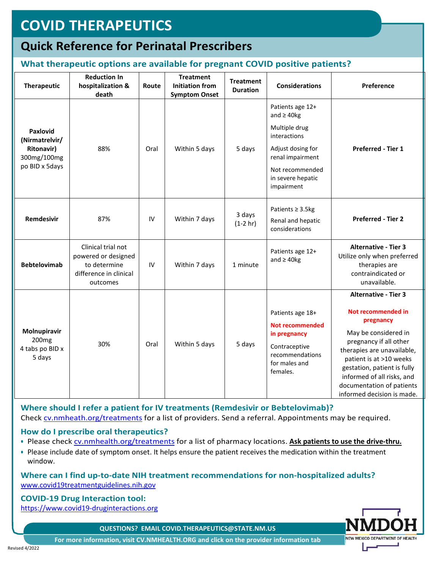# **COVID THERAPEUTICS**

# **Quick Reference for Perinatal Prescribers**

# What therapeutic options are available for pregnant COVID positive patients?

| Therapeutic                                                                      | <b>Reduction In</b><br>hospitalization &<br>death                                               | Route | <b>Treatment</b><br><b>Initiation from</b><br><b>Symptom Onset</b> | <b>Treatment</b><br><b>Duration</b> | <b>Considerations</b>                                                                                                                                               | Preference                                                                                                                                                                                                                                                                                        |
|----------------------------------------------------------------------------------|-------------------------------------------------------------------------------------------------|-------|--------------------------------------------------------------------|-------------------------------------|---------------------------------------------------------------------------------------------------------------------------------------------------------------------|---------------------------------------------------------------------------------------------------------------------------------------------------------------------------------------------------------------------------------------------------------------------------------------------------|
| Paxlovid<br>(Nirmatrelvir/<br><b>Ritonavir)</b><br>300mg/100mg<br>po BID x 5days | 88%                                                                                             | Oral  | Within 5 days                                                      | 5 days                              | Patients age 12+<br>and $\geq$ 40kg<br>Multiple drug<br>interactions<br>Adjust dosing for<br>renal impairment<br>Not recommended<br>in severe hepatic<br>impairment | Preferred - Tier 1                                                                                                                                                                                                                                                                                |
| <b>Remdesivir</b>                                                                | 87%                                                                                             | IV    | Within 7 days                                                      | 3 days<br>$(1-2 hr)$                | Patients $\geq 3.5$ kg<br>Renal and hepatic<br>considerations                                                                                                       | <b>Preferred - Tier 2</b>                                                                                                                                                                                                                                                                         |
| <b>Bebtelovimab</b>                                                              | Clinical trial not<br>powered or designed<br>to determine<br>difference in clinical<br>outcomes | IV    | Within 7 days                                                      | 1 minute                            | Patients age 12+<br>and $\geq$ 40kg                                                                                                                                 | <b>Alternative - Tier 3</b><br>Utilize only when preferred<br>therapies are<br>contraindicated or<br>unavailable.                                                                                                                                                                                 |
| Molnupiravir<br>200 <sub>mg</sub><br>4 tabs po BID x<br>5 days                   | 30%                                                                                             | Oral  | Within 5 days                                                      | 5 days                              | Patients age 18+<br><b>Not recommended</b><br>in pregnancy<br>Contraceptive<br>recommendations<br>for males and<br>females.                                         | <b>Alternative - Tier 3</b><br>Not recommended in<br>pregnancy<br>May be considered in<br>pregnancy if all other<br>therapies are unavailable,<br>patient is at >10 weeks<br>gestation, patient is fully<br>informed of all risks, and<br>documentation of patients<br>informed decision is made. |

Where should I refer a patient for IV treatments (Remdesivir or Bebtelovimab)? Check cv.nmheath.org/treatments for a list of providers. Send a referral. Appointments may be required.

#### How do I prescribe oral therapeutics?

- . Please check cv.nmhealth.org/treatments for a list of pharmacy locations. Ask patients to use the drive-thru.
- Please include date of symptom onset. It helps ensure the patient receives the medication within the treatment window.

#### Where can I find up-to-date NIH treatment recommendations for non-hospitalized adults? www.covid19treatmentguidelines.nih.gov

# **COVID-19 Drug Interaction tool:**

https://www.covid19-druginteractions.org

QUESTIONS? EMAIL COVID.THERAPEUTICS@STATE.NM.US



For more information, visit CV.NMHEALTH.ORG and click on the provider information tab